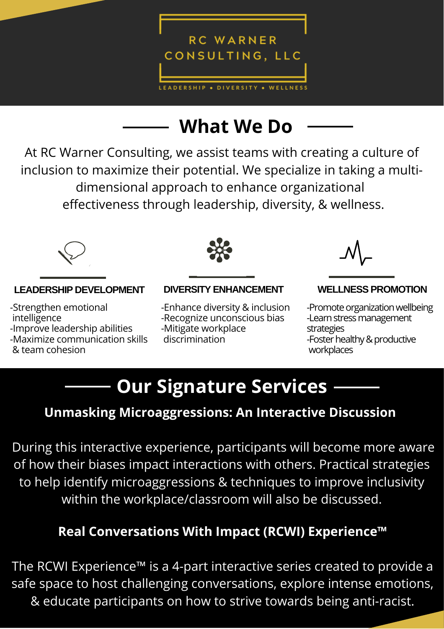

# **What We Do**

At RC Warner Consulting, we assist teams with creating a culture of inclusion to maximize their potential. We specialize in taking a multidimensional approach to enhance organizational effectiveness through leadership, diversity, & wellness.



### **LEADERSHIP DEVELOPMENT DIVERSITY ENHANCEMENT WELLNESS PROMOTION**

-Strengthen emotional .intelligence -Improve leadership abilities -Maximize communication skills & team cohesion



-Enhance diversity & inclusion -Recognize unconscious bias

-Mitigate workplace

.discrimination



-Promote organization wellbeing -Learn stress management strategies -Foster healthy & productive .workplaces

## **Our Signature Services**

## **Unmasking Microaggressions: An Interactive Discussion**

During this interactive experience, participants will become more aware of how their biases impact interactions with others. Practical strategies to help identify microaggressions & techniques to improve inclusivity within the workplace/classroom will also be discussed.

## **Real Conversations With Impact (RCWI) Experience™**

The RCWI Experience™ is a 4-part interactive series created to provide a safe space to host challenging conversations, explore intense emotions, & educate participants on how to strive towards being anti-racist.